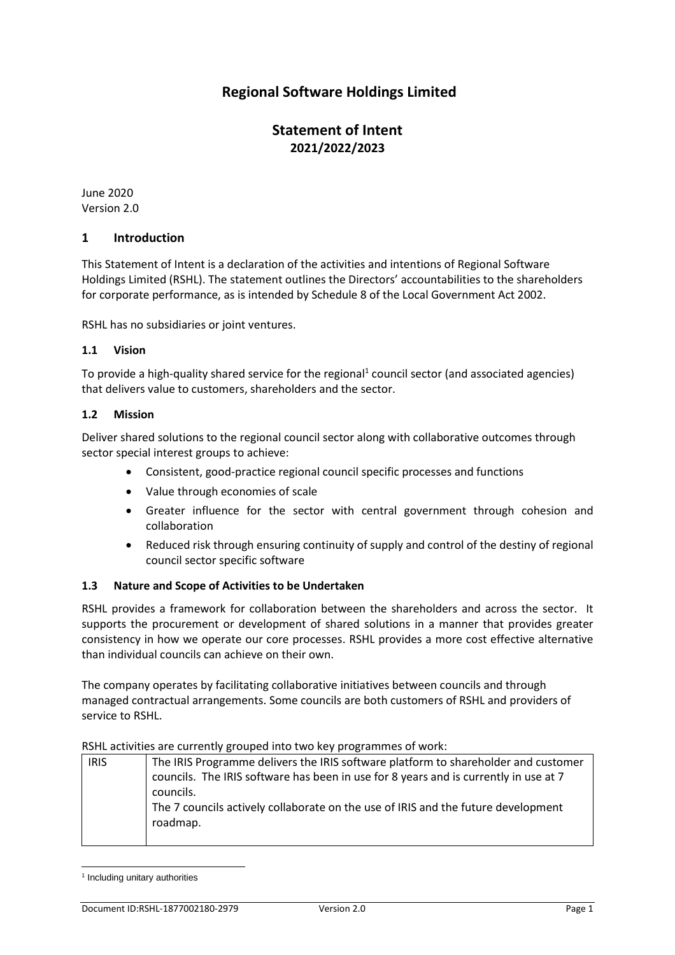# **Regional Software Holdings Limited**

# **Statement of Intent 2021/2022/2023**

June 2020 Version 2.0

### **1 Introduction**

This Statement of Intent is a declaration of the activities and intentions of Regional Software Holdings Limited (RSHL). The statement outlines the Directors' accountabilities to the shareholders for corporate performance, as is intended by Schedule 8 of the Local Government Act 2002.

RSHL has no subsidiaries or joint ventures.

### **1.1 Vision**

To provide a high-quality shared service for the regional<sup>1</sup> council sector (and associated agencies) that delivers value to customers, shareholders and the sector.

### **1.2 Mission**

Deliver shared solutions to the regional council sector along with collaborative outcomes through sector special interest groups to achieve:

- Consistent, good-practice regional council specific processes and functions
- Value through economies of scale
- Greater influence for the sector with central government through cohesion and collaboration
- Reduced risk through ensuring continuity of supply and control of the destiny of regional council sector specific software

# **1.3 Nature and Scope of Activities to be Undertaken**

RSHL provides a framework for collaboration between the shareholders and across the sector. It supports the procurement or development of shared solutions in a manner that provides greater consistency in how we operate our core processes. RSHL provides a more cost effective alternative than individual councils can achieve on their own.

The company operates by facilitating collaborative initiatives between councils and through managed contractual arrangements. Some councils are both customers of RSHL and providers of service to RSHL.

#### RSHL activities are currently grouped into two key programmes of work:

| <b>IRIS</b> | The IRIS Programme delivers the IRIS software platform to shareholder and customer<br>councils. The IRIS software has been in use for 8 years and is currently in use at 7<br>councils.<br>The 7 councils actively collaborate on the use of IRIS and the future development<br>roadmap. |
|-------------|------------------------------------------------------------------------------------------------------------------------------------------------------------------------------------------------------------------------------------------------------------------------------------------|
|             |                                                                                                                                                                                                                                                                                          |

<sup>&</sup>lt;sup>1</sup> Including unitary authorities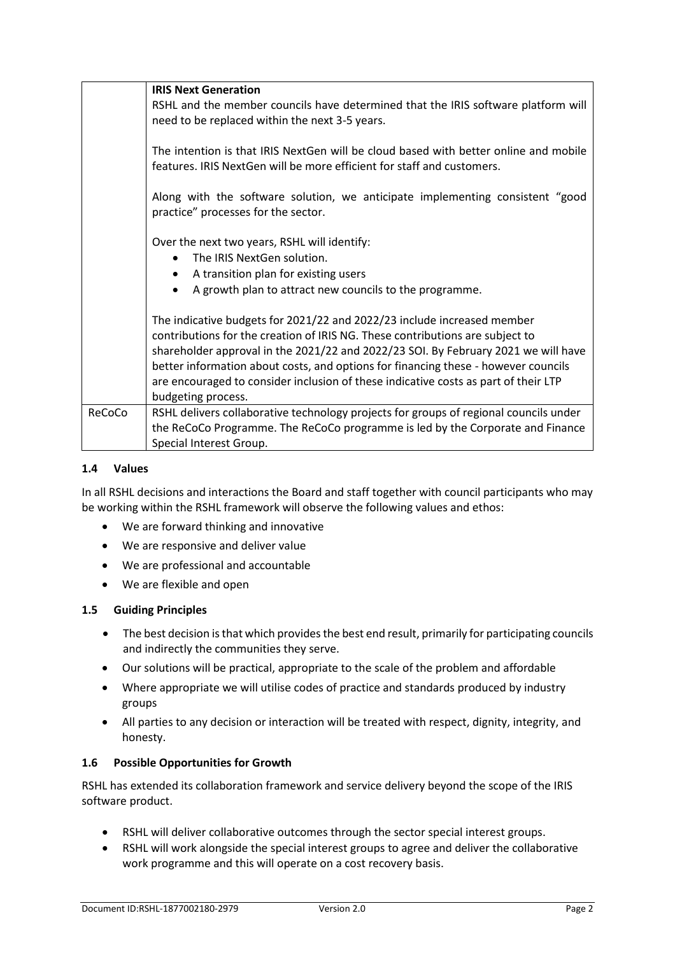|        | <b>IRIS Next Generation</b>                                                                                                                                                                                                                                                                                                                                                                                                                       |
|--------|---------------------------------------------------------------------------------------------------------------------------------------------------------------------------------------------------------------------------------------------------------------------------------------------------------------------------------------------------------------------------------------------------------------------------------------------------|
|        | RSHL and the member councils have determined that the IRIS software platform will                                                                                                                                                                                                                                                                                                                                                                 |
|        | need to be replaced within the next 3-5 years.                                                                                                                                                                                                                                                                                                                                                                                                    |
|        | The intention is that IRIS NextGen will be cloud based with better online and mobile<br>features. IRIS NextGen will be more efficient for staff and customers.                                                                                                                                                                                                                                                                                    |
|        | Along with the software solution, we anticipate implementing consistent "good<br>practice" processes for the sector.                                                                                                                                                                                                                                                                                                                              |
|        | Over the next two years, RSHL will identify:<br>The IRIS NextGen solution.                                                                                                                                                                                                                                                                                                                                                                        |
|        | A transition plan for existing users<br>$\bullet$                                                                                                                                                                                                                                                                                                                                                                                                 |
|        | A growth plan to attract new councils to the programme.<br>٠                                                                                                                                                                                                                                                                                                                                                                                      |
|        | The indicative budgets for 2021/22 and 2022/23 include increased member<br>contributions for the creation of IRIS NG. These contributions are subject to<br>shareholder approval in the 2021/22 and 2022/23 SOI. By February 2021 we will have<br>better information about costs, and options for financing these - however councils<br>are encouraged to consider inclusion of these indicative costs as part of their LTP<br>budgeting process. |
| ReCoCo | RSHL delivers collaborative technology projects for groups of regional councils under<br>the ReCoCo Programme. The ReCoCo programme is led by the Corporate and Finance<br>Special Interest Group.                                                                                                                                                                                                                                                |

### **1.4 Values**

In all RSHL decisions and interactions the Board and staff together with council participants who may be working within the RSHL framework will observe the following values and ethos:

- We are forward thinking and innovative
- We are responsive and deliver value
- We are professional and accountable
- We are flexible and open

### **1.5 Guiding Principles**

- The best decision is that which provides the best end result, primarily for participating councils and indirectly the communities they serve.
- Our solutions will be practical, appropriate to the scale of the problem and affordable
- Where appropriate we will utilise codes of practice and standards produced by industry groups
- All parties to any decision or interaction will be treated with respect, dignity, integrity, and honesty.

### **1.6 Possible Opportunities for Growth**

RSHL has extended its collaboration framework and service delivery beyond the scope of the IRIS software product.

- RSHL will deliver collaborative outcomes through the sector special interest groups.
- RSHL will work alongside the special interest groups to agree and deliver the collaborative work programme and this will operate on a cost recovery basis.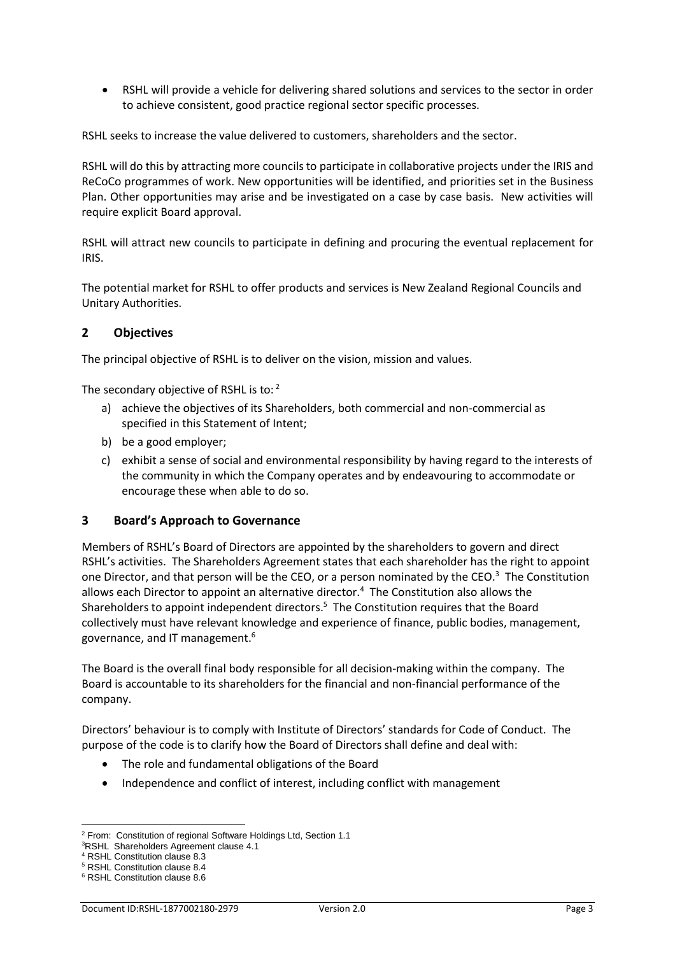• RSHL will provide a vehicle for delivering shared solutions and services to the sector in order to achieve consistent, good practice regional sector specific processes.

RSHL seeks to increase the value delivered to customers, shareholders and the sector.

RSHL will do this by attracting more councils to participate in collaborative projects under the IRIS and ReCoCo programmes of work. New opportunities will be identified, and priorities set in the Business Plan. Other opportunities may arise and be investigated on a case by case basis. New activities will require explicit Board approval.

RSHL will attract new councils to participate in defining and procuring the eventual replacement for IRIS.

The potential market for RSHL to offer products and services is New Zealand Regional Councils and Unitary Authorities.

### **2 Objectives**

The principal objective of RSHL is to deliver on the vision, mission and values.

The secondary objective of RSHL is to: 2

- a) achieve the objectives of its Shareholders, both commercial and non-commercial as specified in this Statement of Intent;
- b) be a good employer;
- c) exhibit a sense of social and environmental responsibility by having regard to the interests of the community in which the Company operates and by endeavouring to accommodate or encourage these when able to do so.

### **3 Board's Approach to Governance**

Members of RSHL's Board of Directors are appointed by the shareholders to govern and direct RSHL's activities. The Shareholders Agreement states that each shareholder has the right to appoint one Director, and that person will be the CEO, or a person nominated by the CEO.<sup>3</sup> The Constitution allows each Director to appoint an alternative director.<sup>4</sup> The Constitution also allows the Shareholders to appoint independent directors.<sup>5</sup> The Constitution requires that the Board collectively must have relevant knowledge and experience of finance, public bodies, management, governance, and IT management.<sup>6</sup>

The Board is the overall final body responsible for all decision-making within the company. The Board is accountable to its shareholders for the financial and non-financial performance of the company.

Directors' behaviour is to comply with Institute of Directors' standards for Code of Conduct. The purpose of the code is to clarify how the Board of Directors shall define and deal with:

- The role and fundamental obligations of the Board
- Independence and conflict of interest, including conflict with management

<sup>2</sup> From: Constitution of regional Software Holdings Ltd, Section 1.1

<sup>3</sup>RSHL Shareholders Agreement clause 4.1

<sup>4</sup> RSHL Constitution clause 8.3

<sup>5</sup> RSHL Constitution clause 8.4

<sup>6</sup> RSHL Constitution clause 8.6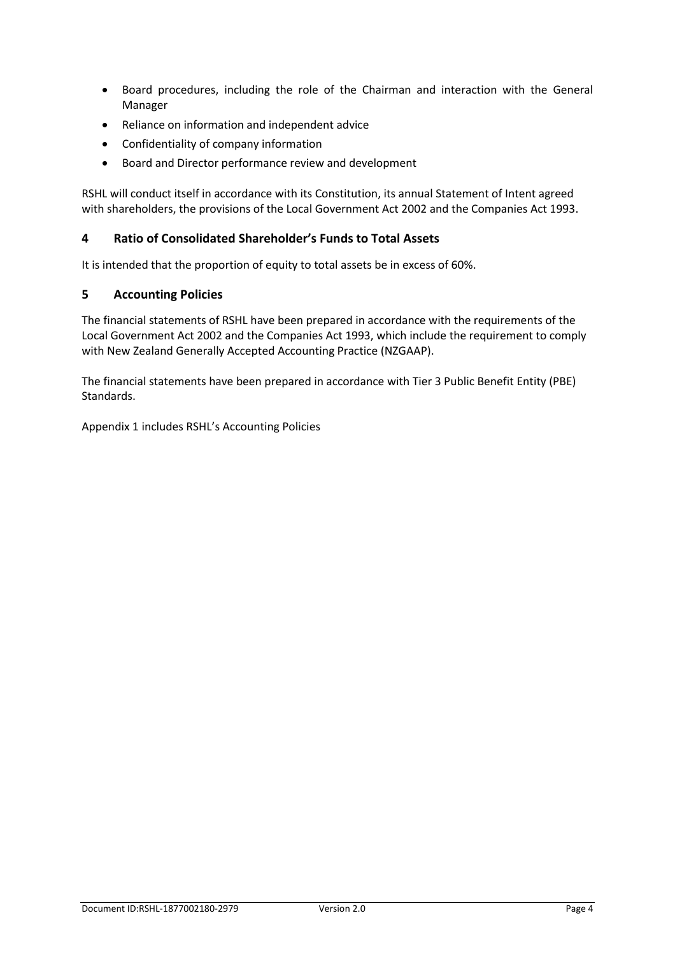- Board procedures, including the role of the Chairman and interaction with the General Manager
- Reliance on information and independent advice
- Confidentiality of company information
- Board and Director performance review and development

RSHL will conduct itself in accordance with its Constitution, its annual Statement of Intent agreed with shareholders, the provisions of the Local Government Act 2002 and the Companies Act 1993.

# **4 Ratio of Consolidated Shareholder's Funds to Total Assets**

It is intended that the proportion of equity to total assets be in excess of 60%.

# **5 Accounting Policies**

The financial statements of RSHL have been prepared in accordance with the requirements of the Local Government Act 2002 and the Companies Act 1993, which include the requirement to comply with New Zealand Generally Accepted Accounting Practice (NZGAAP).

The financial statements have been prepared in accordance with Tier 3 Public Benefit Entity (PBE) Standards.

Appendix 1 includes RSHL's Accounting Policies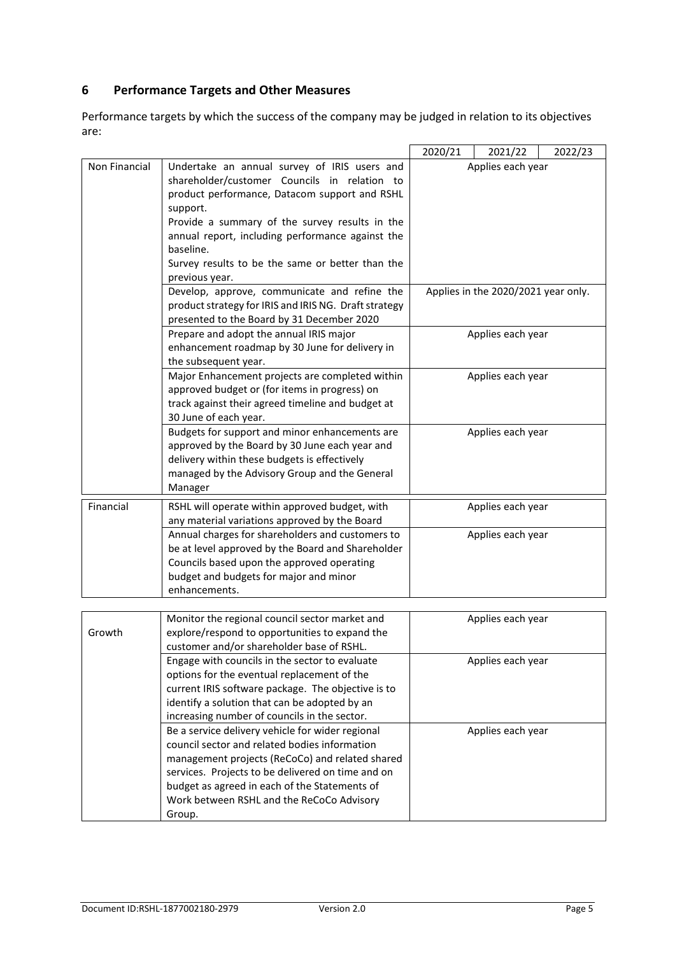# **6 Performance Targets and Other Measures**

Performance targets by which the success of the company may be judged in relation to its objectives are:

|               |                                                                                             | 2020/21           | 2021/22                             | 2022/23 |
|---------------|---------------------------------------------------------------------------------------------|-------------------|-------------------------------------|---------|
| Non Financial | Undertake an annual survey of IRIS users and                                                | Applies each year |                                     |         |
|               | shareholder/customer Councils in relation to                                                |                   |                                     |         |
|               | product performance, Datacom support and RSHL                                               |                   |                                     |         |
|               | support.                                                                                    |                   |                                     |         |
|               | Provide a summary of the survey results in the                                              |                   |                                     |         |
|               | annual report, including performance against the                                            |                   |                                     |         |
|               | baseline.                                                                                   |                   |                                     |         |
|               | Survey results to be the same or better than the                                            |                   |                                     |         |
|               | previous year.                                                                              |                   |                                     |         |
|               | Develop, approve, communicate and refine the                                                |                   | Applies in the 2020/2021 year only. |         |
|               | product strategy for IRIS and IRIS NG. Draft strategy                                       |                   |                                     |         |
|               | presented to the Board by 31 December 2020                                                  |                   |                                     |         |
|               | Prepare and adopt the annual IRIS major                                                     |                   | Applies each year                   |         |
|               | enhancement roadmap by 30 June for delivery in                                              |                   |                                     |         |
|               | the subsequent year.                                                                        |                   |                                     |         |
|               | Major Enhancement projects are completed within                                             |                   | Applies each year                   |         |
|               | approved budget or (for items in progress) on                                               |                   |                                     |         |
|               | track against their agreed timeline and budget at                                           |                   |                                     |         |
|               | 30 June of each year.                                                                       |                   |                                     |         |
|               | Budgets for support and minor enhancements are                                              |                   | Applies each year                   |         |
|               | approved by the Board by 30 June each year and                                              |                   |                                     |         |
|               | delivery within these budgets is effectively                                                |                   |                                     |         |
|               | managed by the Advisory Group and the General                                               |                   |                                     |         |
|               | Manager                                                                                     |                   |                                     |         |
| Financial     | RSHL will operate within approved budget, with                                              |                   | Applies each year                   |         |
|               | any material variations approved by the Board                                               |                   |                                     |         |
|               | Annual charges for shareholders and customers to                                            |                   | Applies each year                   |         |
|               | be at level approved by the Board and Shareholder                                           |                   |                                     |         |
|               | Councils based upon the approved operating                                                  |                   |                                     |         |
|               | budget and budgets for major and minor                                                      |                   |                                     |         |
|               | enhancements.                                                                               |                   |                                     |         |
|               |                                                                                             |                   |                                     |         |
| Growth        | Monitor the regional council sector market and                                              |                   | Applies each year                   |         |
|               | explore/respond to opportunities to expand the<br>customer and/or shareholder base of RSHL. |                   |                                     |         |
|               | Engage with councils in the sector to evaluate                                              |                   | Applies each year                   |         |
|               | options for the eventual replacement of the                                                 |                   |                                     |         |
|               | current IRIS software package. The objective is to                                          |                   |                                     |         |
|               | identify a solution that can be adopted by an                                               |                   |                                     |         |
|               | increasing number of councils in the sector.                                                |                   |                                     |         |
|               | Be a service delivery vehicle for wider regional                                            |                   | Applies each year                   |         |
|               | council sector and related bodies information                                               |                   |                                     |         |
|               | management projects (ReCoCo) and related shared                                             |                   |                                     |         |
|               | services. Projects to be delivered on time and on                                           |                   |                                     |         |
|               | budget as agreed in each of the Statements of                                               |                   |                                     |         |
|               | Work between RSHL and the ReCoCo Advisory                                                   |                   |                                     |         |
|               | Group.                                                                                      |                   |                                     |         |
|               |                                                                                             |                   |                                     |         |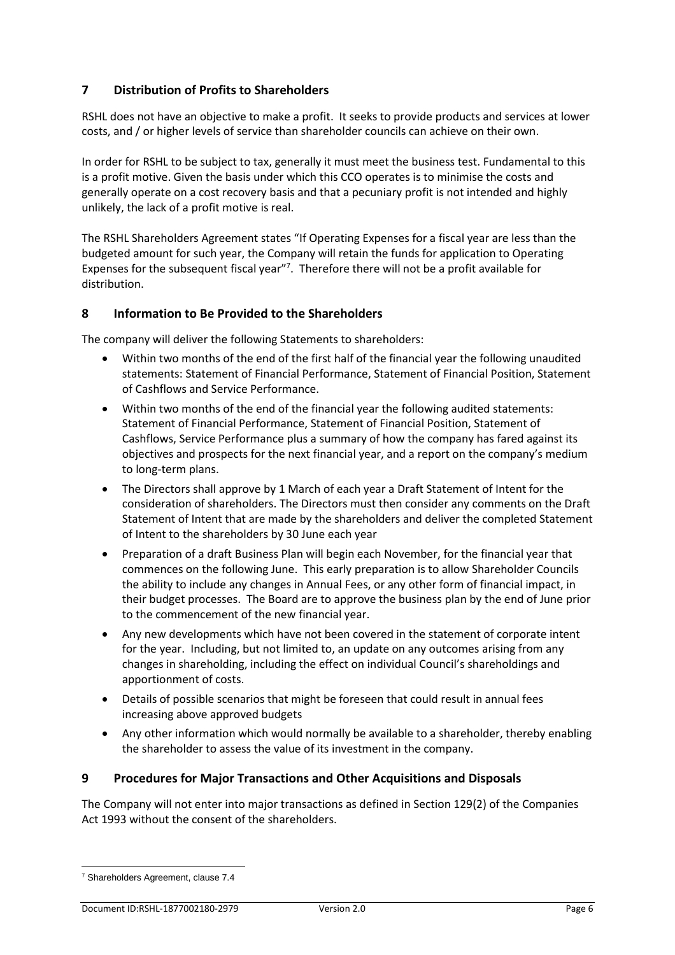# **7 Distribution of Profits to Shareholders**

RSHL does not have an objective to make a profit. It seeks to provide products and services at lower costs, and / or higher levels of service than shareholder councils can achieve on their own.

In order for RSHL to be subject to tax, generally it must meet the business test. Fundamental to this is a profit motive. Given the basis under which this CCO operates is to minimise the costs and generally operate on a cost recovery basis and that a pecuniary profit is not intended and highly unlikely, the lack of a profit motive is real.

The RSHL Shareholders Agreement states "If Operating Expenses for a fiscal year are less than the budgeted amount for such year, the Company will retain the funds for application to Operating Expenses for the subsequent fiscal year"<sup>7</sup>. Therefore there will not be a profit available for distribution.

# **8 Information to Be Provided to the Shareholders**

The company will deliver the following Statements to shareholders:

- Within two months of the end of the first half of the financial year the following unaudited statements: Statement of Financial Performance, Statement of Financial Position, Statement of Cashflows and Service Performance.
- Within two months of the end of the financial year the following audited statements: Statement of Financial Performance, Statement of Financial Position, Statement of Cashflows, Service Performance plus a summary of how the company has fared against its objectives and prospects for the next financial year, and a report on the company's medium to long-term plans.
- The Directors shall approve by 1 March of each year a Draft Statement of Intent for the consideration of shareholders. The Directors must then consider any comments on the Draft Statement of Intent that are made by the shareholders and deliver the completed Statement of Intent to the shareholders by 30 June each year
- Preparation of a draft Business Plan will begin each November, for the financial year that commences on the following June. This early preparation is to allow Shareholder Councils the ability to include any changes in Annual Fees, or any other form of financial impact, in their budget processes. The Board are to approve the business plan by the end of June prior to the commencement of the new financial year.
- Any new developments which have not been covered in the statement of corporate intent for the year. Including, but not limited to, an update on any outcomes arising from any changes in shareholding, including the effect on individual Council's shareholdings and apportionment of costs.
- Details of possible scenarios that might be foreseen that could result in annual fees increasing above approved budgets
- Any other information which would normally be available to a shareholder, thereby enabling the shareholder to assess the value of its investment in the company.

# **9 Procedures for Major Transactions and Other Acquisitions and Disposals**

The Company will not enter into major transactions as defined in Section 129(2) of the Companies Act 1993 without the consent of the shareholders.

<sup>7</sup> Shareholders Agreement, clause 7.4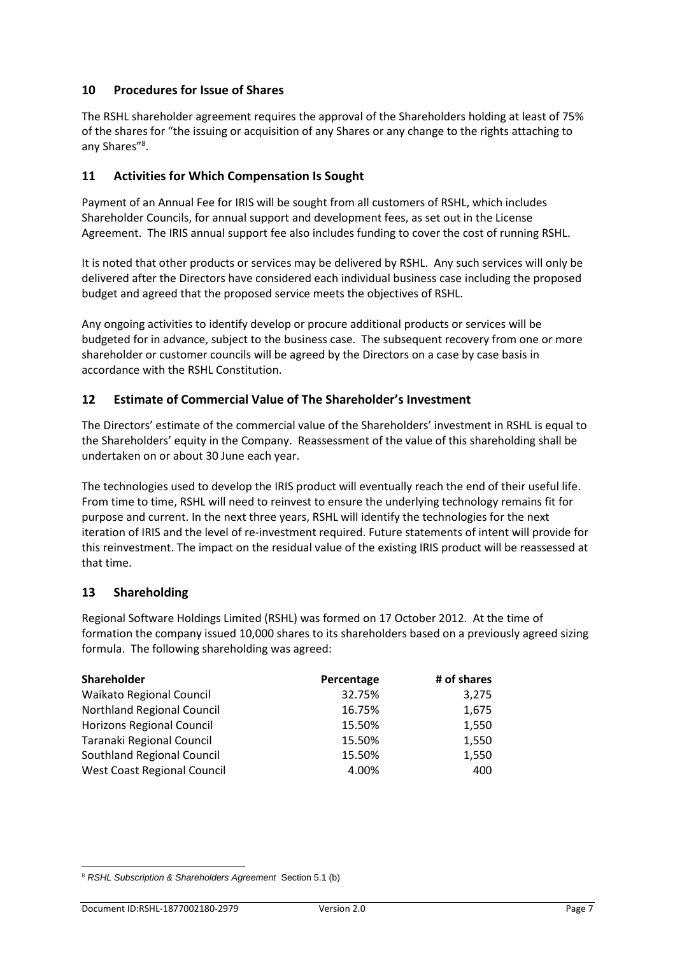# **10 Procedures for Issue of Shares**

The RSHL shareholder agreement requires the approval of the Shareholders holding at least of 75% of the shares for "the issuing or acquisition of any Shares or any change to the rights attaching to any Shares"<sup>8</sup>.

# **11 Activities for Which Compensation Is Sought**

Payment of an Annual Fee for IRIS will be sought from all customers of RSHL, which includes Shareholder Councils, for annual support and development fees, as set out in the License Agreement. The IRIS annual support fee also includes funding to cover the cost of running RSHL.

It is noted that other products or services may be delivered by RSHL. Any such services will only be delivered after the Directors have considered each individual business case including the proposed budget and agreed that the proposed service meets the objectives of RSHL.

Any ongoing activities to identify develop or procure additional products or services will be budgeted for in advance, subject to the business case. The subsequent recovery from one or more shareholder or customer councils will be agreed by the Directors on a case by case basis in accordance with the RSHL Constitution.

# **12 Estimate of Commercial Value of The Shareholder's Investment**

The Directors' estimate of the commercial value of the Shareholders' investment in RSHL is equal to the Shareholders' equity in the Company. Reassessment of the value of this shareholding shall be undertaken on or about 30 June each year.

The technologies used to develop the IRIS product will eventually reach the end of their useful life. From time to time, RSHL will need to reinvest to ensure the underlying technology remains fit for purpose and current. In the next three years, RSHL will identify the technologies for the next iteration of IRIS and the level of re-investment required. Future statements of intent will provide for this reinvestment. The impact on the residual value of the existing IRIS product will be reassessed at that time.

# **13 Shareholding**

Regional Software Holdings Limited (RSHL) was formed on 17 October 2012. At the time of formation the company issued 10,000 shares to its shareholders based on a previously agreed sizing formula. The following shareholding was agreed:

| <b>Shareholder</b>                 | Percentage | # of shares |
|------------------------------------|------------|-------------|
| <b>Waikato Regional Council</b>    | 32.75%     | 3,275       |
| <b>Northland Regional Council</b>  | 16.75%     | 1,675       |
| <b>Horizons Regional Council</b>   | 15.50%     | 1,550       |
| Taranaki Regional Council          | 15.50%     | 1,550       |
| <b>Southland Regional Council</b>  | 15.50%     | 1,550       |
| <b>West Coast Regional Council</b> | 4.00%      | 400         |

<sup>8</sup> *RSHL Subscription & Shareholders Agreement* Section 5.1 (b)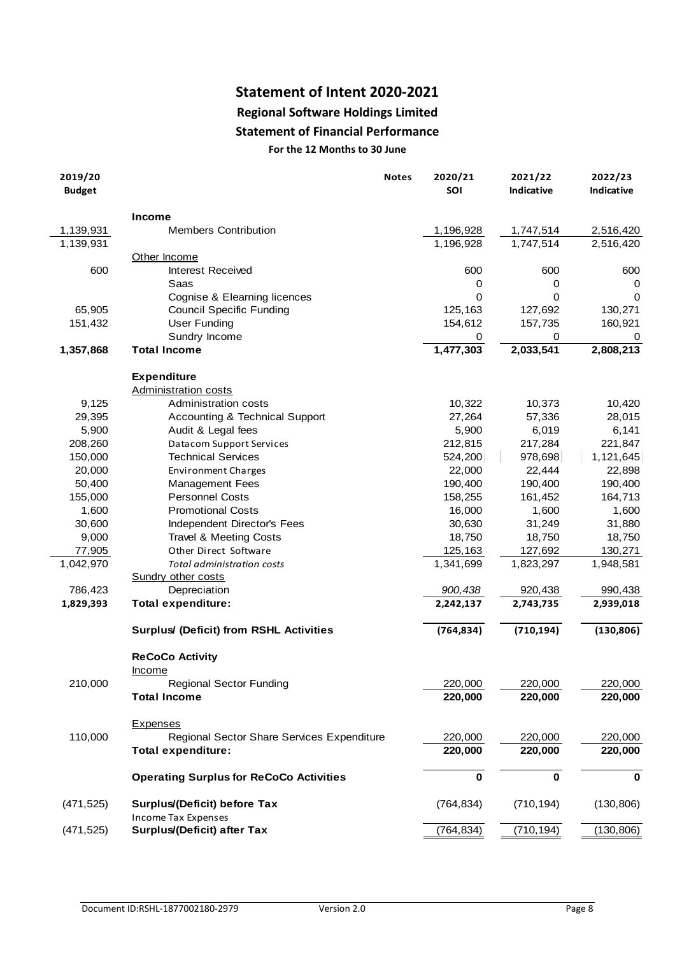# **Statement of Intent 2020-2021**

# **Regional Software Holdings Limited**

# **Statement of Financial Performance**

|                              | <b>Statement of Financial Performance</b>      |              |                |                       |                              |
|------------------------------|------------------------------------------------|--------------|----------------|-----------------------|------------------------------|
| For the 12 Months to 30 June |                                                |              |                |                       |                              |
| 2019/20<br><b>Budget</b>     |                                                | <b>Notes</b> | 2020/21<br>SOI | 2021/22<br>Indicative | 2022/23<br><b>Indicative</b> |
|                              | <b>Income</b>                                  |              |                |                       |                              |
| 1,139,931                    | <b>Members Contribution</b>                    |              | 1,196,928      | 1,747,514             | 2,516,420                    |
| 1,139,931                    |                                                |              | 1,196,928      | 1,747,514             | 2,516,420                    |
|                              | Other Income                                   |              |                |                       |                              |
| 600                          | <b>Interest Received</b>                       |              | 600            | 600                   | 600                          |
|                              | Saas                                           |              | 0              | 0                     | 0                            |
|                              | Cognise & Elearning licences                   |              | 0              | 0                     | 0                            |
| 65,905                       | <b>Council Specific Funding</b>                |              | 125,163        | 127,692               | 130,271                      |
| 151,432                      | <b>User Funding</b>                            |              | 154,612        | 157,735               | 160,921                      |
|                              | Sundry Income                                  |              | 0              | 0                     | 0                            |
| 1,357,868                    | <b>Total Income</b>                            |              | 1,477,303      | 2,033,541             | 2,808,213                    |
|                              | <b>Expenditure</b>                             |              |                |                       |                              |
|                              | Administration costs                           |              |                |                       |                              |
| 9,125                        | Administration costs                           |              | 10,322         | 10,373                | 10,420                       |
| 29,395                       | Accounting & Technical Support                 |              | 27,264         | 57,336                | 28,015                       |
| 5,900                        | Audit & Legal fees                             |              | 5,900          | 6,019                 | 6,141                        |
| 208,260                      | Datacom Support Services                       |              | 212,815        | 217,284               | 221,847                      |
| 150,000                      | <b>Technical Services</b>                      |              | 524,200        | 978,698               | 1,121,645                    |
| 20,000                       | <b>Environment Charges</b>                     |              | 22,000         | 22,444                | 22,898                       |
| 50,400                       | <b>Management Fees</b>                         |              | 190,400        | 190,400               | 190,400                      |
| 155,000                      | <b>Personnel Costs</b>                         |              | 158,255        | 161,452               | 164,713                      |
| 1,600                        | <b>Promotional Costs</b>                       |              | 16,000         | 1,600                 | 1,600                        |
| 30,600                       | Independent Director's Fees                    |              | 30,630         | 31,249                | 31,880                       |
| 9,000                        | <b>Travel &amp; Meeting Costs</b>              |              | 18,750         | 18,750                | 18,750                       |
| 77,905                       | Other Direct Software                          |              | 125,163        | 127,692               | 130,271                      |
| 1,042,970                    | Total administration costs                     |              | 1,341,699      | 1,823,297             | 1,948,581                    |
|                              | Sundry other costs                             |              |                |                       |                              |
| 786,423                      | Depreciation                                   |              | 900,438        | 920,438               | 990,438                      |
| 1,829,393                    | <b>Total expenditure:</b>                      |              | 2,242,137      | 2,743,735             | 2,939,018                    |
|                              | Surplus/ (Deficit) from RSHL Activities        |              | (764, 834)     | (710, 194)            | (130, 806)                   |
|                              | <b>ReCoCo Activity</b>                         |              |                |                       |                              |
|                              | <b>Income</b>                                  |              |                |                       |                              |
| 210,000                      | <b>Regional Sector Funding</b>                 |              | 220,000        | 220,000               | 220,000                      |
|                              | <b>Total Income</b>                            |              | 220,000        | 220,000               | 220,000                      |
|                              | <b>Expenses</b>                                |              |                |                       |                              |
| 110,000                      | Regional Sector Share Services Expenditure     |              | 220,000        | 220,000               | 220,000                      |
|                              | <b>Total expenditure:</b>                      |              | 220,000        | 220,000               | 220,000                      |
|                              | <b>Operating Surplus for ReCoCo Activities</b> |              | $\mathbf 0$    | $\mathbf 0$           | $\mathbf 0$                  |
| (471, 525)                   | Surplus/(Deficit) before Tax                   |              | (764, 834)     | (710, 194)            | (130, 806)                   |
|                              | <b>Income Tax Expenses</b>                     |              |                |                       |                              |
| (471, 525)                   | Surplus/(Deficit) after Tax                    |              | (764, 834)     | (710, 194)            | (130, 806)                   |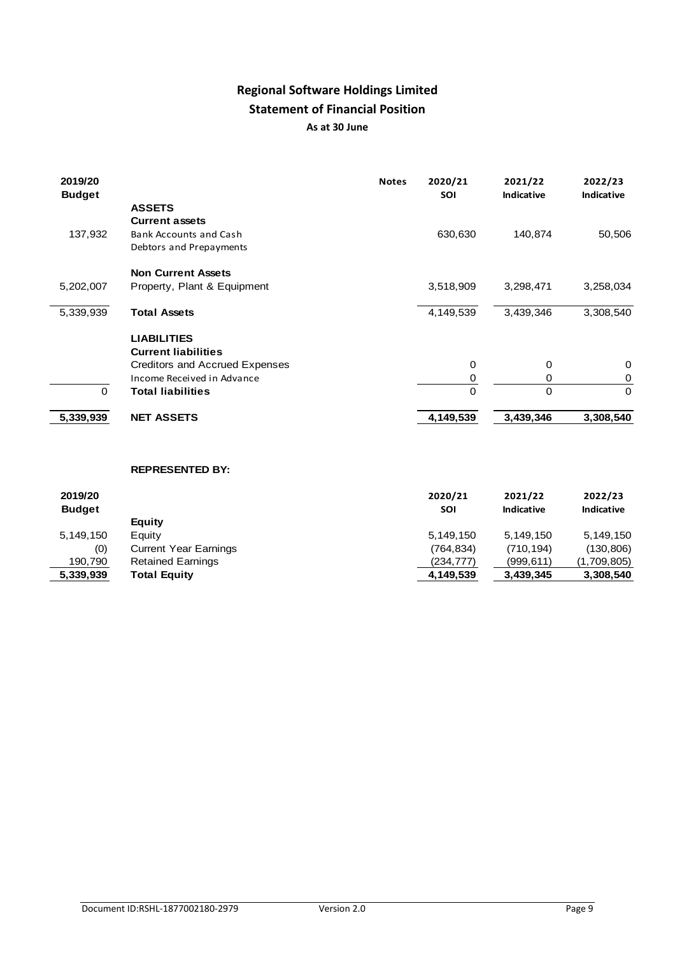# **Regional Software Holdings Limited Statement of Financial Position As at 30 June**

| 2019/20<br><b>Budget</b> |                                                          | <b>Notes</b> | 2020/21<br>SOI | 2021/22<br><b>Indicative</b> | 2022/23<br>Indicative |
|--------------------------|----------------------------------------------------------|--------------|----------------|------------------------------|-----------------------|
|                          | <b>ASSETS</b><br><b>Current assets</b>                   |              |                |                              |                       |
| 137,932                  | <b>Bank Accounts and Cash</b><br>Debtors and Prepayments |              | 630,630        | 140,874                      | 50,506                |
|                          | <b>Non Current Assets</b>                                |              |                |                              |                       |
| 5,202,007                | Property, Plant & Equipment                              |              | 3,518,909      | 3,298,471                    | 3,258,034             |
| 5,339,939                | <b>Total Assets</b>                                      |              | 4,149,539      | 3,439,346                    | 3,308,540             |
|                          | <b>LIABILITIES</b>                                       |              |                |                              |                       |
|                          | <b>Current liabilities</b>                               |              |                |                              |                       |
|                          | Creditors and Accrued Expenses                           |              | 0              | $\mathbf 0$                  | $\mathbf 0$           |
|                          | Income Received in Advance                               |              | $\frac{0}{0}$  | 0                            | $\,0\,$               |
| $\Omega$                 | <b>Total liabilities</b>                                 |              |                | $\overline{0}$               | $\mathbf 0$           |
| 5,339,939                | <b>NET ASSETS</b>                                        |              | 4,149,539      | 3,439,346                    | 3,308,540             |
|                          | <b>REPRESENTED BY:</b>                                   |              |                |                              |                       |
| 2019/20                  |                                                          |              | 2020/21        | 2021/22                      | 2022/23               |
| <b>Budget</b>            |                                                          |              | SOI            | <b>Indicative</b>            | <b>Indicative</b>     |
|                          | <b>Equity</b>                                            |              |                |                              |                       |
| 5,149,150                | Equity                                                   |              | 5,149,150      | 5,149,150                    | 5, 149, 150           |
| (0)                      | <b>Current Year Earnings</b>                             |              | (764, 834)     | (710, 194)                   | (130, 806)            |
| 190,790                  | <b>Retained Earnings</b>                                 |              | (234, 777)     | (999, 611)                   | (1,709,805)           |
| 5,339,939                | <b>Total Equity</b>                                      |              | 4,149,539      | 3,439,345                    | 3,308,540             |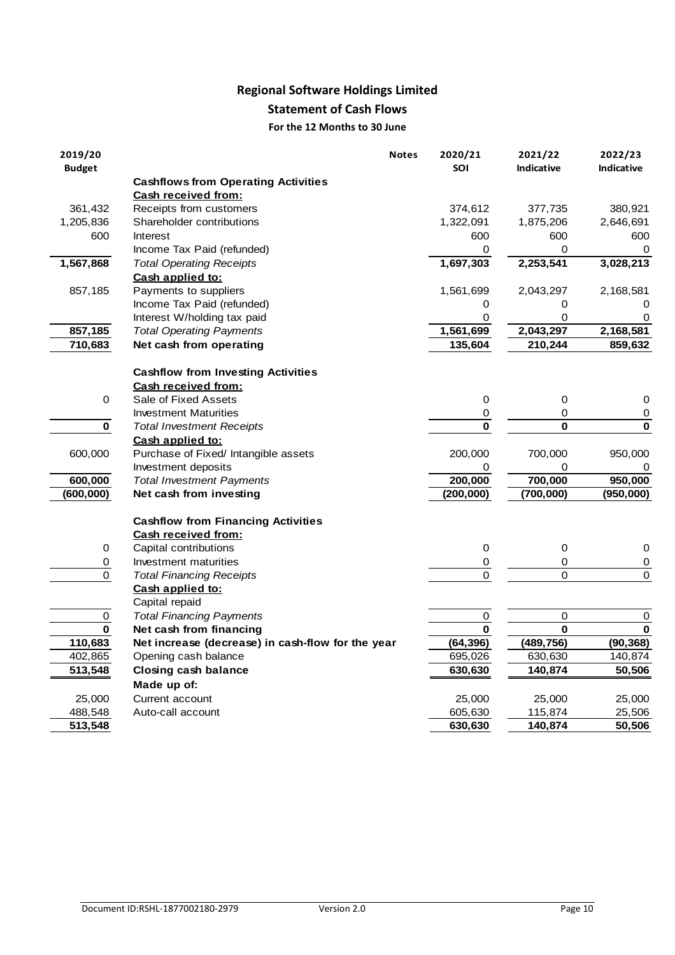# **Regional Software Holdings Limited**

# **Statement of Cash Flows**

### **For the 12 Months to 30 June**

|                          | <b>Statement of Cash Flows</b>                                   |              |                       |                              |                              |
|--------------------------|------------------------------------------------------------------|--------------|-----------------------|------------------------------|------------------------------|
|                          | For the 12 Months to 30 June                                     |              |                       |                              |                              |
| 2019/20<br><b>Budget</b> |                                                                  | <b>Notes</b> | 2020/21<br><b>SOI</b> | 2021/22<br><b>Indicative</b> | 2022/23<br><b>Indicative</b> |
|                          | <b>Cashflows from Operating Activities</b>                       |              |                       |                              |                              |
|                          | Cash received from:                                              |              |                       |                              |                              |
| 361,432                  | Receipts from customers                                          |              | 374,612               | 377,735                      | 380,921                      |
| 1,205,836                | Shareholder contributions                                        |              | 1,322,091             | 1,875,206                    | 2,646,691                    |
| 600                      | Interest                                                         |              | 600                   | 600                          | 600                          |
|                          | Income Tax Paid (refunded)                                       |              | 0                     | 0                            | 0                            |
| 1,567,868                | <b>Total Operating Receipts</b><br>Cash applied to:              |              | 1,697,303             | 2,253,541                    | 3,028,213                    |
| 857,185                  | Payments to suppliers                                            |              | 1,561,699             | 2,043,297                    | 2,168,581                    |
|                          | Income Tax Paid (refunded)                                       |              | 0                     | 0                            | 0                            |
|                          | Interest W/holding tax paid                                      |              | 0                     | 0                            | 0                            |
| 857,185                  | <b>Total Operating Payments</b>                                  |              | 1,561,699             | 2,043,297                    | 2,168,581                    |
| 710,683                  | Net cash from operating                                          |              | 135,604               | 210,244                      | 859,632                      |
|                          |                                                                  |              |                       |                              |                              |
|                          | <b>Cashflow from Investing Activities</b><br>Cash received from: |              |                       |                              |                              |
| 0                        | Sale of Fixed Assets                                             |              | 0                     | 0                            | 0                            |
|                          | <b>Investment Maturities</b>                                     |              | $\boldsymbol{0}$      | 0                            | $\mathbf 0$                  |
| 0                        | <b>Total Investment Receipts</b>                                 |              | $\mathbf 0$           | $\bf{0}$                     | $\bf{0}$                     |
|                          | Cash applied to:                                                 |              |                       |                              |                              |
| 600,000                  | Purchase of Fixed/ Intangible assets                             |              | 200,000               | 700,000                      | 950,000                      |
|                          | Investment deposits                                              |              | 0                     | 0                            | 0                            |
| 600,000                  | <b>Total Investment Payments</b>                                 |              | 200,000               | 700,000                      | 950,000                      |
| (600,000)                | Net cash from investing                                          |              | (200, 000)            | (700,000)                    | (950,000)                    |
|                          | <b>Cashflow from Financing Activities</b><br>Cash received from: |              |                       |                              |                              |
| 0                        | Capital contributions                                            |              | $\boldsymbol{0}$      | 0                            | 0                            |
| 0                        | Investment maturities                                            |              | 0                     | 0                            | 0                            |
| $\pmb{0}$                | <b>Total Financing Receipts</b>                                  |              | $\mathbf 0$           | $\mathbf 0$                  | $\mathbf 0$                  |
|                          | Cash applied to:                                                 |              |                       |                              |                              |
|                          | Capital repaid                                                   |              |                       |                              |                              |
| $\mathsf 0$              | <b>Total Financing Payments</b>                                  |              | $\pmb{0}$             | $\mathbf 0$                  | 0                            |
| $\mathbf 0$              | Net cash from financing                                          |              | $\bf{0}$              | $\bf{0}$                     | $\bf{0}$                     |
| 110,683                  | Net increase (decrease) in cash-flow for the year                |              | (64, 396)             | (489, 756)                   | (90, 368)                    |
| 402,865                  | Opening cash balance                                             |              | 695,026               | 630,630                      | 140,874                      |
| 513,548                  | <b>Closing cash balance</b>                                      |              | 630,630               | 140,874                      | 50,506                       |
|                          | Made up of:                                                      |              |                       |                              |                              |
| 25,000                   | Current account                                                  |              | 25,000                | 25,000                       | 25,000                       |
| 488,548                  | Auto-call account                                                |              | 605,630               | 115,874                      | 25,506                       |
| 513,548                  |                                                                  |              | 630,630               | 140,874                      | 50,506                       |
|                          |                                                                  |              |                       |                              |                              |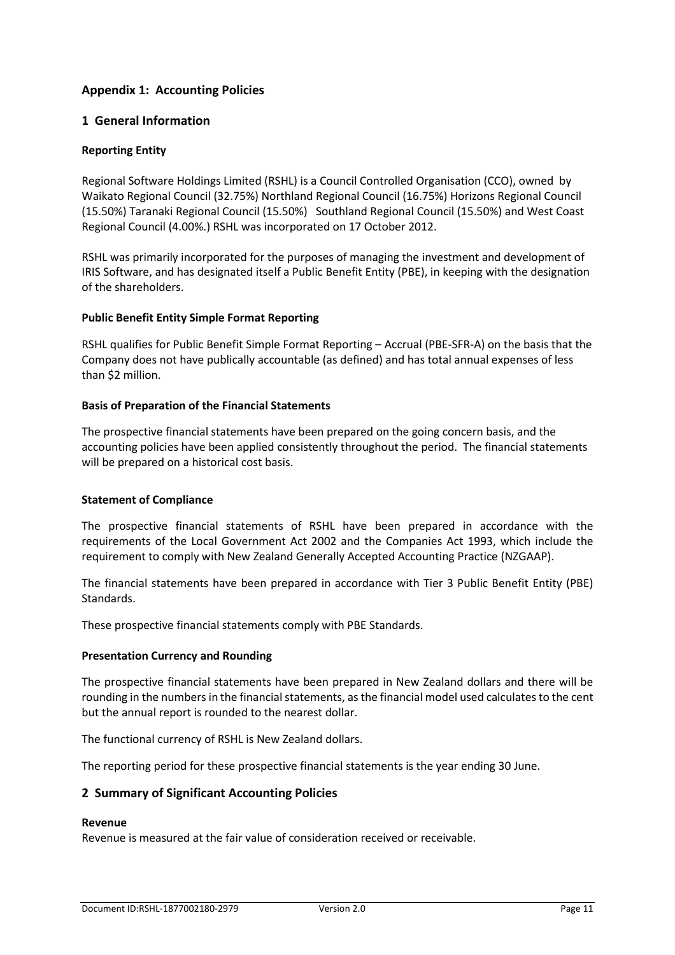# **Appendix 1: Accounting Policies**

### **1 General Information**

### **Reporting Entity**

Regional Software Holdings Limited (RSHL) is a Council Controlled Organisation (CCO), owned by Waikato Regional Council (32.75%) Northland Regional Council (16.75%) Horizons Regional Council (15.50%) Taranaki Regional Council (15.50%) Southland Regional Council (15.50%) and West Coast Regional Council (4.00%.) RSHL was incorporated on 17 October 2012.

RSHL was primarily incorporated for the purposes of managing the investment and development of IRIS Software, and has designated itself a Public Benefit Entity (PBE), in keeping with the designation of the shareholders.

### **Public Benefit Entity Simple Format Reporting**

RSHL qualifies for Public Benefit Simple Format Reporting – Accrual (PBE-SFR-A) on the basis that the Company does not have publically accountable (as defined) and has total annual expenses of less than \$2 million.

### **Basis of Preparation of the Financial Statements**

The prospective financial statements have been prepared on the going concern basis, and the accounting policies have been applied consistently throughout the period. The financial statements will be prepared on a historical cost basis.

### **Statement of Compliance**

The prospective financial statements of RSHL have been prepared in accordance with the requirements of the Local Government Act 2002 and the Companies Act 1993, which include the requirement to comply with New Zealand Generally Accepted Accounting Practice (NZGAAP).

The financial statements have been prepared in accordance with Tier 3 Public Benefit Entity (PBE) Standards.

These prospective financial statements comply with PBE Standards.

### **Presentation Currency and Rounding**

The prospective financial statements have been prepared in New Zealand dollars and there will be rounding in the numbers in the financial statements, as the financial model used calculates to the cent but the annual report is rounded to the nearest dollar.

The functional currency of RSHL is New Zealand dollars.

The reporting period for these prospective financial statements is the year ending 30 June.

### **2 Summary of Significant Accounting Policies**

#### **Revenue**

Revenue is measured at the fair value of consideration received or receivable.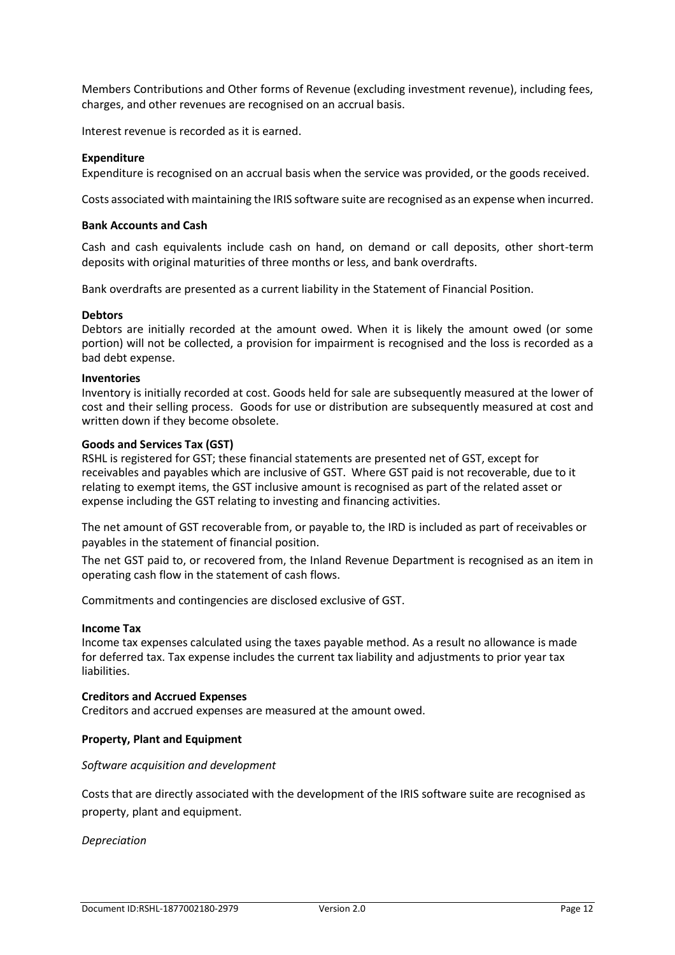Members Contributions and Other forms of Revenue (excluding investment revenue), including fees, charges, and other revenues are recognised on an accrual basis.

Interest revenue is recorded as it is earned.

### **Expenditure**

Expenditure is recognised on an accrual basis when the service was provided, or the goods received.

Costs associated with maintaining the IRIS software suite are recognised as an expense when incurred.

### **Bank Accounts and Cash**

Cash and cash equivalents include cash on hand, on demand or call deposits, other short-term deposits with original maturities of three months or less, and bank overdrafts.

Bank overdrafts are presented as a current liability in the Statement of Financial Position.

#### **Debtors**

Debtors are initially recorded at the amount owed. When it is likely the amount owed (or some portion) will not be collected, a provision for impairment is recognised and the loss is recorded as a bad debt expense.

### **Inventories**

Inventory is initially recorded at cost. Goods held for sale are subsequently measured at the lower of cost and their selling process. Goods for use or distribution are subsequently measured at cost and written down if they become obsolete.

#### **Goods and Services Tax (GST)**

RSHL is registered for GST; these financial statements are presented net of GST, except for receivables and payables which are inclusive of GST. Where GST paid is not recoverable, due to it relating to exempt items, the GST inclusive amount is recognised as part of the related asset or expense including the GST relating to investing and financing activities.

The net amount of GST recoverable from, or payable to, the IRD is included as part of receivables or payables in the statement of financial position.

The net GST paid to, or recovered from, the Inland Revenue Department is recognised as an item in operating cash flow in the statement of cash flows.

Commitments and contingencies are disclosed exclusive of GST.

#### **Income Tax**

Income tax expenses calculated using the taxes payable method. As a result no allowance is made for deferred tax. Tax expense includes the current tax liability and adjustments to prior year tax liabilities.

#### **Creditors and Accrued Expenses**

Creditors and accrued expenses are measured at the amount owed.

### **Property, Plant and Equipment**

### *Software acquisition and development*

Costs that are directly associated with the development of the IRIS software suite are recognised as property, plant and equipment.

*Depreciation*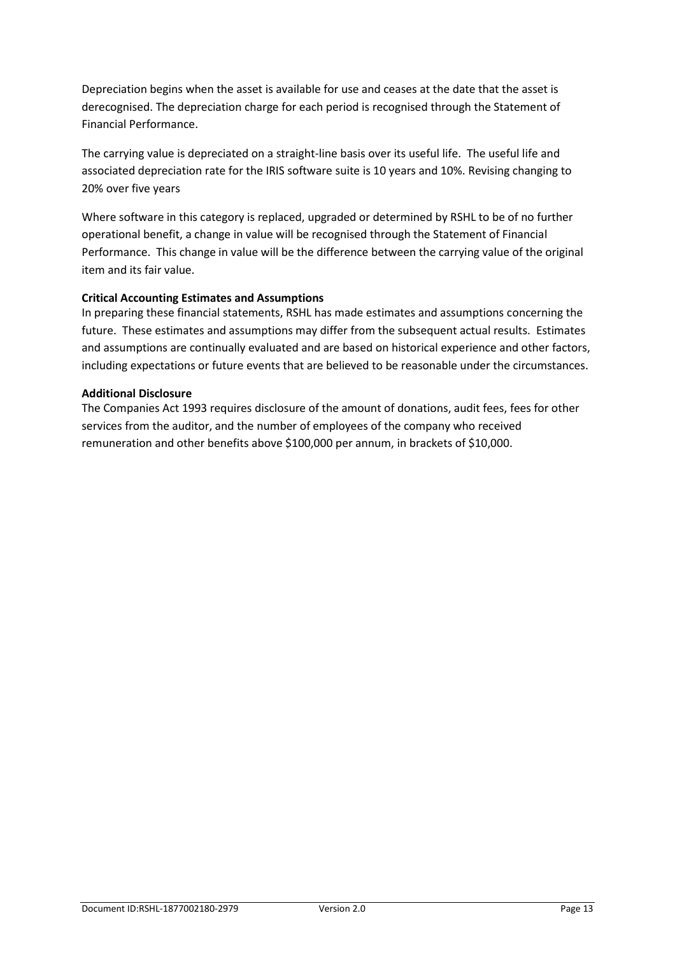Depreciation begins when the asset is available for use and ceases at the date that the asset is derecognised. The depreciation charge for each period is recognised through the Statement of Financial Performance.

The carrying value is depreciated on a straight-line basis over its useful life. The useful life and associated depreciation rate for the IRIS software suite is 10 years and 10%. Revising changing to 20% over five years

Where software in this category is replaced, upgraded or determined by RSHL to be of no further operational benefit, a change in value will be recognised through the Statement of Financial Performance. This change in value will be the difference between the carrying value of the original item and its fair value.

### **Critical Accounting Estimates and Assumptions**

In preparing these financial statements, RSHL has made estimates and assumptions concerning the future. These estimates and assumptions may differ from the subsequent actual results. Estimates and assumptions are continually evaluated and are based on historical experience and other factors, including expectations or future events that are believed to be reasonable under the circumstances.

### **Additional Disclosure**

The Companies Act 1993 requires disclosure of the amount of donations, audit fees, fees for other services from the auditor, and the number of employees of the company who received remuneration and other benefits above \$100,000 per annum, in brackets of \$10,000.